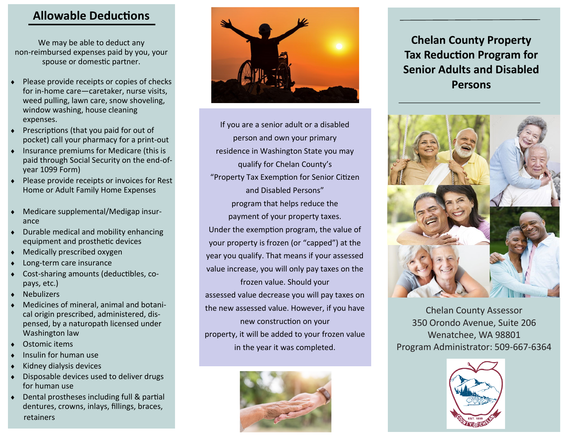## **Allowable Deductions**

We may be able to deduct any non-reimbursed expenses paid by you, your spouse or domestic partner.

- Please provide receipts or copies of checks for in-home care—caretaker, nurse visits, weed pulling, lawn care, snow shoveling, window washing, house cleaning expenses.
- Prescriptions (that you paid for out of pocket) call your pharmacy for a print-out
- Insurance premiums for Medicare (this is paid through Social Security on the end-ofyear 1099 Form)
- Please provide receipts or invoices for Rest Home or Adult Family Home Expenses
- Medicare supplemental/Medigap insurance
- Durable medical and mobility enhancing equipment and prosthetic devices
- Medically prescribed oxygen
- Long-term care insurance
- Cost-sharing amounts (deductibles, copays, etc.)
- **Nebulizers**
- Medicines of mineral, animal and botanical origin prescribed, administered, dispensed, by a naturopath licensed under Washington law
- Ostomic items
- Insulin for human use
- Kidney dialysis devices
- Disposable devices used to deliver drugs for human use
- Dental prostheses including full & partial dentures, crowns, inlays, fillings, braces, retainers



If you are a senior adult or a disabled person and own your primary residence in Washington State you may qualify for Chelan County's "Property Tax Exemption for Senior Citizen and Disabled Persons" program that helps reduce the payment of your property taxes. Under the exemption program, the value of your property is frozen (or "capped") at the year you qualify. That means if your assessed value increase, you will only pay taxes on the frozen value. Should your assessed value decrease you will pay taxes on the new assessed value. However, if you have new construction on your property, it will be added to your frozen value in the year it was completed.



# **Chelan County Property Tax Reduction Program for Senior Adults and Disabled Persons**



Chelan County Assessor 350 Orondo Avenue, Suite 206 Wenatchee, WA 98801 Program Administrator: 509-667-6364